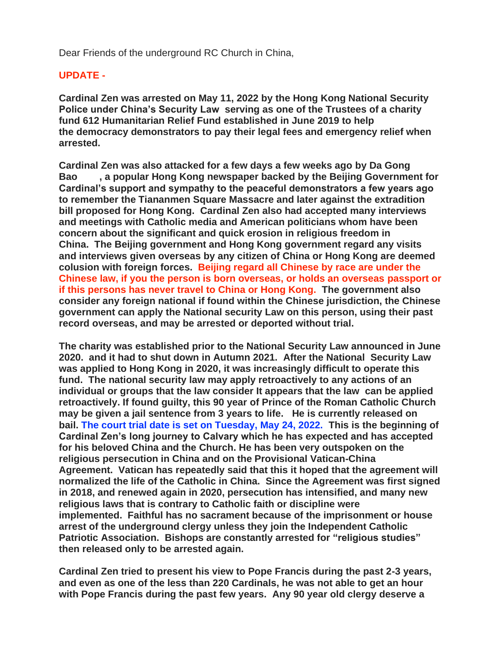Dear Friends of the underground RC Church in China,

## **UPDATE -**

**Cardinal Zen was arrested on May 11, 2022 by the Hong Kong National Security Police under China's Security Law serving as one of the Trustees of a charity fund 612 Humanitarian Relief Fund established in June 2019 to help the democracy demonstrators to pay their legal fees and emergency relief when arrested.** 

**Cardinal Zen was also attacked for a few days a few weeks ago by Da Gong Bao , a popular Hong Kong newspaper backed by the Beijing Government for Cardinal's support and sympathy to the peaceful demonstrators a few years ago to remember the Tiananmen Square Massacre and later against the extradition bill proposed for Hong Kong. Cardinal Zen also had accepted many interviews and meetings with Catholic media and American politicians whom have been concern about the significant and quick erosion in religious freedom in China. The Beijing government and Hong Kong government regard any visits and interviews given overseas by any citizen of China or Hong Kong are deemed colusion with foreign forces. Beijing regard all Chinese by race are under the Chinese law, if you the person is born overseas, or holds an overseas passport or if this persons has never travel to China or Hong Kong. The government also consider any foreign national if found within the Chinese jurisdiction, the Chinese government can apply the National security Law on this person, using their past record overseas, and may be arrested or deported without trial.**

**The charity was established prior to the National Security Law announced in June 2020. and it had to shut down in Autumn 2021. After the National Security Law was applied to Hong Kong in 2020, it was increasingly difficult to operate this fund. The national security law may apply retroactively to any actions of an individual or groups that the law consider It appears that the law can be applied retroactively. If found guilty, this 90 year of Prince of the Roman Catholic Church may be given a jail sentence from 3 years to life. He is currently released on bail. The court trial date is set on Tuesday, May 24, 2022. This is the beginning of Cardinal Zen's long journey to Calvary which he has expected and has accepted for his beloved China and the Church. He has been very outspoken on the religious persecution in China and on the Provisional Vatican-China Agreement. Vatican has repeatedly said that this it hoped that the agreement will normalized the life of the Catholic in China. Since the Agreement was first signed in 2018, and renewed again in 2020, persecution has intensified, and many new religious laws that is contrary to Catholic faith or discipline were implemented. Faithful has no sacrament because of the imprisonment or house arrest of the underground clergy unless they join the Independent Catholic Patriotic Association. Bishops are constantly arrested for "religious studies" then released only to be arrested again.**

**Cardinal Zen tried to present his view to Pope Francis during the past 2-3 years, and even as one of the less than 220 Cardinals, he was not able to get an hour with Pope Francis during the past few years. Any 90 year old clergy deserve a**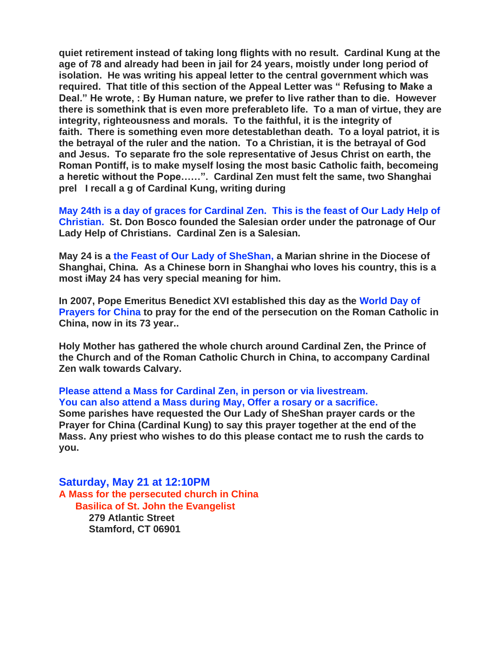**quiet retirement instead of taking long flights with no result. Cardinal Kung at the age of 78 and already had been in jail for 24 years, moistly under long period of isolation. He was writing his appeal letter to the central government which was required. That title of this section of the Appeal Letter was " Refusing to Make a Deal." He wrote, : By Human nature, we prefer to live rather than to die. However there is somethink that is even more preferableto life. To a man of virtue, they are integrity, righteousness and morals. To the faithful, it is the integrity of faith. There is something even more detestablethan death. To a loyal patriot, it is the betrayal of the ruler and the nation. To a Christian, it is the betrayal of God and Jesus. To separate fro the sole representative of Jesus Christ on earth, the Roman Pontiff, is to make myself losing the most basic Catholic faith, becomeing a heretic without the Pope……". Cardinal Zen must felt the same, two Shanghai prel I recall a g of Cardinal Kung, writing during** 

**May 24th is a day of graces for Cardinal Zen. This is the feast of Our Lady Help of Christian. St. Don Bosco founded the Salesian order under the patronage of Our Lady Help of Christians. Cardinal Zen is a Salesian.** 

**May 24 is a the Feast of Our Lady of SheShan, a Marian shrine in the Diocese of Shanghai, China. As a Chinese born in Shanghai who loves his country, this is a most iMay 24 has very special meaning for him.** 

**In 2007, Pope Emeritus Benedict XVI established this day as the World Day of Prayers for China to pray for the end of the persecution on the Roman Catholic in China, now in its 73 year..**

**Holy Mother has gathered the whole church around Cardinal Zen, the Prince of the Church and of the Roman Catholic Church in China, to accompany Cardinal Zen walk towards Calvary.** 

**Please attend a Mass for Cardinal Zen, in person or via livestream. You can also attend a Mass during May, Offer a rosary or a sacrifice.** 

**Some parishes have requested the Our Lady of SheShan prayer cards or the Prayer for China (Cardinal Kung) to say this prayer together at the end of the Mass. Any priest who wishes to do this please contact me to rush the cards to you.**

**Saturday, May 21 at 12:10PM A Mass for the persecuted church in China Basilica of St. John the Evangelist 279 Atlantic Street Stamford, CT 06901**